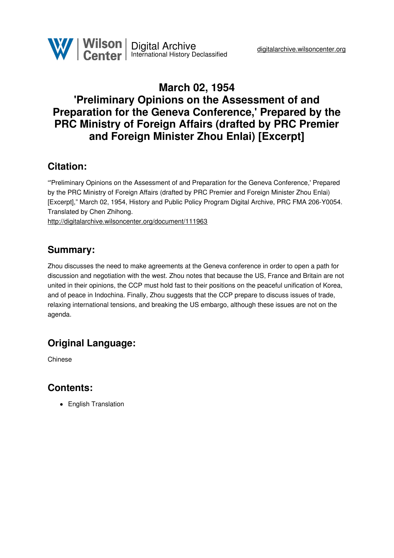# **March 02, 1954 'Preliminary Opinions on the Assessment of and Preparation for the Geneva Conference,' Prepared by the PRC Ministry of Foreign Affairs (drafted by PRC Premier and Foreign Minister Zhou Enlai) [Excerpt]**

#### **Citation:**

"'Preliminary Opinions on the Assessment of and Preparation for the Geneva Conference,' Prepared by the PRC Ministry of Foreign Affairs (drafted by PRC Premier and Foreign Minister Zhou Enlai) [Excerpt]," March 02, 1954, History and Public Policy Program Digital Archive, PRC FMA 206-Y0054. Translated by Chen Zhihong.

<http://digitalarchive.wilsoncenter.org/document/111963>

### **Summary:**

Zhou discusses the need to make agreements at the Geneva conference in order to open a path for discussion and negotiation with the west. Zhou notes that because the US, France and Britain are not united in their opinions, the CCP must hold fast to their positions on the peaceful unification of Korea, and of peace in Indochina. Finally, Zhou suggests that the CCP prepare to discuss issues of trade, relaxing international tensions, and breaking the US embargo, although these issues are not on the agenda.

## **Original Language:**

Chinese

### **Contents:**

• English Translation